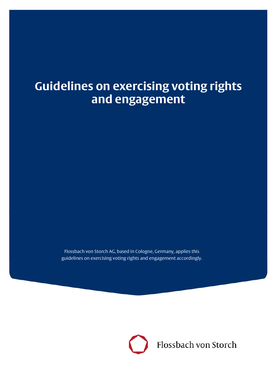# **Guidelines on exercising voting rights and engagement**

Flossbach von Storch AG, based in Cologne, Germany, applies this guidelines on exercising voting rights and engagement accordingly.

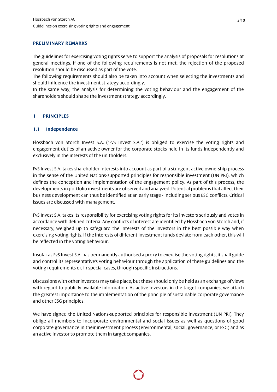#### **PRELIMINARY REMARKS**

The guidelines for exercising voting rights serve to support the analysis of proposals for resolutions at general meetings. If one of the following requirements is not met, the rejection of the proposed resolution should be discussed as part of the vote.

The following requirements should also be taken into account when selecting the investments and should influence the investment strategy accordingly.

In the same way, the analysis for determining the voting behaviour and the engagement of the shareholders should shape the investment strategy accordingly.

#### **1 PRINCIPLES**

#### **1.1 Independence**

Flossbach von Storch Invest S.A. ("FvS Invest S.A.") is obliged to exercise the voting rights and engagement duties of an active owner for the corporate stocks held in its funds independently and exclusively in the interests of the unitholders.

FvS Invest S.A. takes shareholder interests into account as part of a stringent active ownership process in the sense of the United Nations-supported principles for responsible investment (UN PRI), which defines the conception and implementation of the engagement policy. As part of this process, the developments in portfolio investments are observed and analyzed. Potential problems that affect their business development can thus be identified at an early stage - including serious ESG conflicts. Critical issues are discussed with management.

FvS Invest S.A. takes its responsibility for exercising voting rights for its investors seriously and votes in accordance with defined criteria. Any conflicts of interest are identified by Flossbach von Storch and, if necessary, weighed up to safeguard the interests of the investors in the best possible way when exercising voting rights. If the interests of different investment funds deviate from each other, this will be reflected in the voting behaviour.

Insofar as FvS Invest S.A. has permanently authorised a proxy to exercise the voting rights, it shall guide and control its representative's voting behaviour through the application of these guidelines and the voting requirements or, in special cases, through specific instructions.

Discussions with other investors may take place, but these should only be held as an exchange of views with regard to publicly available information. As active investors in the target companies, we attach the greatest importance to the implementation of the principle of sustainable corporate governance and other ESG principles.

We have signed the United Nations-supported principles for responsible investment (UN PRI). They oblige all members to incorporate environmental and social issues as well as questions of good corporate governance in their investment process (environmental, social, governance, or ESG) and as an active investor to promote them in target companies.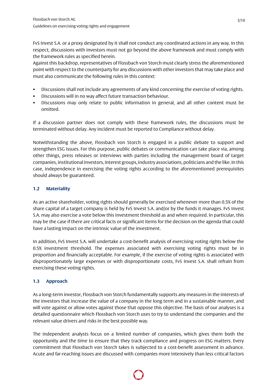FvS Invest S.A. or a proxy designated by it shall not conduct any coordinated actions in any way. In this respect, discussions with investors must not go beyond the above framework and must comply with the framework rules as specified herein.

Against this backdrop, representatives of Flossbach von Storch must clearly stress the aforementioned point with respect to the counterparty for any discussions with other investors that may take place and must also communicate the following rules in this context:

- Discussions shall not include any agreements of any kind concerning the exercise of voting rights.
- Discussions will in no way affect future transaction behaviour.
- Discussions may only relate to public information in general, and all other content must be omitted.

If a discussion partner does not comply with these framework rules, the discussions must be terminated without delay. Any incident must be reported to Compliance without delay.

Notwithstanding the above, Flossbach von Storch is engaged in a public debate to support and strengthen ESG issues. For this purpose, public debates or communication can take place via, among other things, press releases or interviews with parties including the management board of target companies, institutional investors, interest groups, industry associations, politicians and the like. In this case, independence in exercising the voting rights according to the aforementioned prerequisites should always be guaranteed.

## **1.2 Materiality**

As an active shareholder, voting rights should generally be exercised whenever more than 0.5% of the share capital of a target company is held by FvS Invest S.A. and/or by the funds it manages. FvS Invest S.A. may also exercise a vote below this investment threshold as and when required. In particular, this may be the case if there are critical facts or significant items for the decision on the agenda that could have a lasting impact on the intrinsic value of the investment.

In addition, FvS Invest S.A. will undertake a cost-benefit analysis of exercising voting rights below the 0.5% investment threshold. The expenses associated with exercising voting rights must be in proportion and financially acceptable. For example, if the exercise of voting rights is associated with disproportionately large expenses or with disproportionate costs, FvS Invest S.A. shall refrain from exercising these voting rights.

## **1.3 Approach**

As a long-term investor, Flossbach von Storch fundamentally supports any measures in the interests of the investors that increase the value of a company in the long term and in a sustainable manner, and will vote against or allow votes against those that oppose this objective. The basis of our analyses is a detailed questionnaire which Flossbach von Storch uses to try to understand the companies and the relevant value drivers and risks in the best possible way.

The independent analysts focus on a limited number of companies, which gives them both the opportunity and the time to ensure that they track compliance and progress on ESG matters. Every commitment that Flossbach von Storch takes is subjected to a cost-benefit assessment in advance. Acute and far-reaching issues are discussed with companies more intensively than less critical factors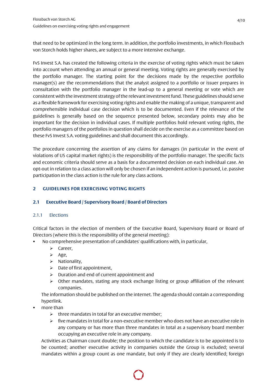that need to be optimized in the long term. In addition, the portfolio investments, in which Flossbach von Storch holds higher shares, are subject to a more intensive exchange.

FvS Invest S.A. has created the following criteria in the exercise of voting rights which must be taken into account when attending an annual or general meeting. Voting rights are generally exercised by the portfolio manager. The starting point for the decisions made by the respective portfolio manager(s) are the recommendations that the analyst assigned to a portfolio or issuer prepares in consultation with the portfolio manager in the lead-up to a general meeting or vote which are consistent with the investment strategy of the relevant investment fund. These guidelines should serve as a flexible framework for exercising voting rights and enable the making of a unique, transparent and comprehensible individual case decision which is to be documented. Even if the relevance of the guidelines is generally based on the sequence presented below, secondary points may also be important for the decision in individual cases. If multiple portfolios hold relevant voting rights, the portfolio managers of the portfolios in question shall decide on the exercise as a committee based on these FvS Invest S.A. voting guidelines and shall document this accordingly.

The procedure concerning the assertion of any claims for damages (in particular in the event of violations of US capital market rights) is the responsibility of the portfolio manager. The specific facts and economic criteria should serve as a basis for a documented decision on each individual case. An opt-out in relation to a class action will only be chosen if an independent action is pursued, i.e. passive participation in the class action is the rule for any class actions.

## **2 GUIDELINES FOR EXERCISING VOTING RIGHTS**

#### **2.1 Executive Board / Supervisory Board / Board of Directors**

#### 2.1.1 Elections

Critical factors in the election of members of the Executive Board, Supervisory Board or Board of Directors (where this is the responsibility of the general meeting):

- No comprehensive presentation of candidates' qualifications with, in particular,
	- $\triangleright$  Career,
	- $\triangleright$  Age,
	- $\triangleright$  Nationality,
	- $\triangleright$  Date of first appointment,
	- $\triangleright$  Duration and end of current appointment and
	- $\triangleright$  Other mandates, stating any stock exchange listing or group affiliation of the relevant companies.

The information should be published on the internet. The agenda should contain a corresponding hyperlink.

- more than
	- $\triangleright$  three mandates in total for an executive member;
	- $\triangleright$  five mandates in total for a non-executive member who does not have an executive role in any company or has more than three mandates in total as a supervisory board member occupying an executive role in any company.

Activities as Chairman count double; the position to which the candidate is to be appointed is to be counted; another executive activity in companies outside the Group is excluded; several mandates within a group count as one mandate, but only if they are clearly identified; foreign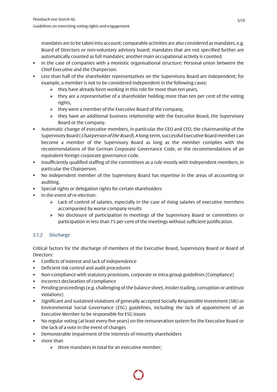mandates are to be taken into account; comparable activities are also considered as mandates, e.g. Board of Directors or non-voluntary advisory board; mandates that are not specified further are automatically counted as full mandates; another main occupational activity is counted.

- In the case of companies with a monistic organisational structure: Personal union between the Chief Executive and the Chairperson.
- Less than half of the shareholder representatives on the Supervisory Board are independent; for example, a member is not to be considered independent in the following cases:
	- $\triangleright$  they have already been working in this role for more than ten years,
	- $\triangleright$  they are a representative of a shareholder holding more than ten per cent of the voting rights,
	- $\triangleright$  they were a member of the Executive Board of the company,
	- $\triangleright$  they have an additional business relationship with the Executive Board, the Supervisory Board or the company.
- Automatic change of executive members, in particular the CEO and CFO, the chairmanship of the Supervisory Board (*Chairperson of the Board*). A long-term, successful Executive Board member can become a member of the Supervisory Board as long as the member complies with the recommendations of the German Corporate Governance Code, or the recommendations of an equivalent foreign corporate governance code.
- Insufficiently qualified staffing of the committees as a rule mostly with independent members, in particular the Chairperson.
- No independent member of the Supervisory Board has expertise in the areas of accounting or auditing.
- Special rights or delegation rights for certain shareholders
- In the event of re-election:
	- $\triangleright$  Lack of control of salaries, especially in the case of rising salaries of executive members accompanied by worse company results
	- $\triangleright$  No disclosure of participation in meetings of the Supervisory Board or committees or participation in less than 75 per cent of the meetings without sufficient justification.

## 2.1.2 Discharge

Critical factors for the discharge of members of the Executive Board, Supervisory Board or Board of Directors:

- Conflicts of interest and lack of independence
- Deficient risk control and audit procedures
- Non-compliance with statutory provisions, corporate or intra-group guidelines (Compliance)
- Incorrect declaration of compliance
- Pending proceedings (e.g. challenging of the balance sheet, insider trading, corruption or antitrust violations)
- Significant and sustained violations of generally accepted Socially Responsible Investment (SRI) or Environmental Social Governance (ESG) guidelines, including the lack of appointment of an Executive Member to be responsible for ESG issues
- No regular voting (at least every five years) on the remuneration system for the Executive Board or the lack of a vote in the event of changes
- Demonstrable impairment of the interests of minority shareholders
- more than
	- $\triangleright$  three mandates in total for an executive member;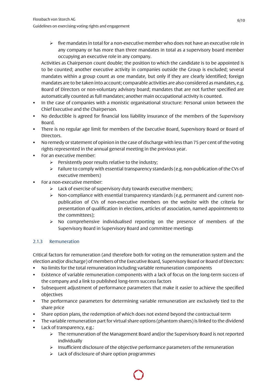$\triangleright$  five mandates in total for a non-executive member who does not have an executive role in any company or has more than three mandates in total as a supervisory board member occupying an executive role in any company.

Activities as Chairperson count double; the position to which the candidate is to be appointed is to be counted; another executive activity in companies outside the Group is excluded; several mandates within a group count as one mandate, but only if they are clearly identified; foreign mandates are to be taken into account; comparable activities are also considered as mandates, e.g. Board of Directors or non-voluntary advisory board; mandates that are not further specified are automatically counted as full mandates; another main occupational activity is counted.

- In the case of companies with a monistic organisational structure: Personal union between the Chief Executive and the Chairperson.
- No deductible is agreed for financial loss liability insurance of the members of the Supervisory Board.
- There is no regular age limit for members of the Executive Board, Supervisory Board or Board of Directors.
- No remedy or statement of opinion in the case of discharge with less than 75 per cent of the voting rights represented in the annual general meeting in the previous year.
- For an executive member:
	- $\triangleright$  Persistently poor results relative to the industry;
	- $\triangleright$  Failure to comply with essential transparency standards (e.g. non-publication of the CVs of executive members)
- For a non-executive member:
	- $\triangleright$  Lack of exercise of supervisory duty towards executive members;
	- $\triangleright$  Non-compliance with essential transparency standards (e.g. permanent and current nonpublication of CVs of non-executive members on the website with the criteria for presentation of qualification in elections, articles of association, named appointments to the committees);
	- $\triangleright$  No comprehensive individualised reporting on the presence of members of the Supervisory Board in Supervisory Board and committee meetings

## 2.1.3 Remuneration

Critical factors for remuneration (and therefore both for voting on the remuneration system and the election and/or discharge) of members of the Executive Board, Supervisory Board or Board of Directors:

- No limits for the total remuneration including variable remuneration components
- Existence of variable remuneration components with a lack of focus on the long-term success of the company and a link to published long-term success factors
- Subsequent adjustment of performance parameters that make it easier to achieve the specified objectives
- The performance parameters for determining variable remuneration are exclusively tied to the share price
- Share option plans, the redemption of which does not extend beyond the contractual term
- The variable remuneration part for virtual share options (phantom shares) is linked to the dividend **Lack of transparency, e.g.:** 
	- $\triangleright$  The remuneration of the Management Board and/or the Supervisory Board is not reported individually
	- $\triangleright$  Insufficient disclosure of the objective performance parameters of the remuneration
	- $\triangleright$  Lack of disclosure of share option programmes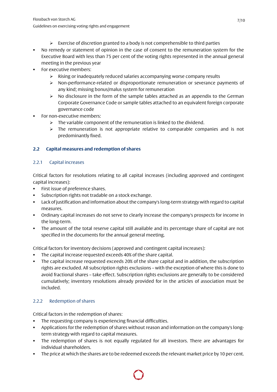- $\triangleright$  Exercise of discretion granted to a body is not comprehensible to third parties
- No remedy or statement of opinion in the case of consent to the remuneration system for the Executive Board with less than 75 per cent of the voting rights represented in the annual general meeting in the previous year
- For executive members:
	- $\triangleright$  Rising or inadequately reduced salaries accompanying worse company results
	- $\triangleright$  Non-performance-related or disproportionate remuneration or severance payments of any kind; missing bonus/malus system for remuneration
	- $\triangleright$  No disclosure in the form of the sample tables attached as an appendix to the German Corporate Governance Code or sample tables attached to an equivalent foreign corporate governance code
- For non-executive members:
	- $\triangleright$  The variable component of the remuneration is linked to the dividend.
	- $\triangleright$  The remuneration is not appropriate relative to comparable companies and is not predominantly fixed.

## **2.2 Capital measures and redemption of shares**

#### 2.2.1 Capital increases

Critical factors for resolutions relating to all capital increases (including approved and contingent capital increases):

- First issue of preference shares.
- Subscription rights not tradable on a stock exchange.
- Lack of justification and information about the company's long-term strategy with regard to capital measures.
- Ordinary capital increases do not serve to clearly increase the company's prospects for income in the long-term.
- The amount of the total reserve capital still available and its percentage share of capital are not specified in the documents for the annual general meeting.

Critical factors for inventory decisions (approved and contingent capital increases):

- The capital increase requested exceeds 40% of the share capital.
- The capital increase requested exceeds 20% of the share capital and in addition, the subscription rights are excluded. All subscription rights exclusions – with the exception of where this is done to avoid fractional shares – take effect. Subscription rights exclusions are generally to be considered cumulatively; inventory resolutions already provided for in the articles of association must be included.

## 2.2.2 Redemption of shares

Critical factors in the redemption of shares:

- The requesting company is experiencing financial difficulties.
- Applications for the redemption of shares without reason and information on the company's longterm strategy with regard to capital measures.
- The redemption of shares is not equally regulated for all investors. There are advantages for individual shareholders.
- The price at which the shares are to be redeemed exceeds the relevant market price by 10 per cent.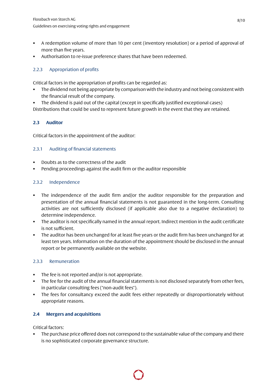- A redemption volume of more than 10 per cent (inventory resolution) or a period of approval of more than five years.
- Authorisation to re-issue preference shares that have been redeemed.

## 2.2.3 Appropriation of profits

Critical factors in the appropriation of profits can be regarded as:

- The dividend not being appropriate by comparison with the industry and not being consistent with the financial result of the company.
- The dividend is paid out of the capital (except in specifically justified exceptional cases)

Distributions that could be used to represent future growth in the event that they are retained.

## **2.3 Auditor**

Critical factors in the appointment of the auditor:

#### 2.3.1 Auditing of financial statements

- Doubts as to the correctness of the audit
- Pending proceedings against the audit firm or the auditor responsible

## 2.3.2 Independence

- The independence of the audit firm and/or the auditor responsible for the preparation and presentation of the annual financial statements is not guaranteed in the long-term. Consulting activities are not sufficiently disclosed (if applicable also due to a negative declaration) to determine independence.
- The auditor is not specifically named in the annual report. Indirect mention in the audit certificate is not sufficient.
- The auditor has been unchanged for at least five years or the audit firm has been unchanged for at least ten years. Information on the duration of the appointment should be disclosed in the annual report or be permanently available on the website.

#### 2.3.3 Remuneration

- The fee is not reported and/or is not appropriate.
- The fee for the audit of the annual financial statements is not disclosed separately from other fees, in particular consulting fees ("non-audit fees").
- The fees for consultancy exceed the audit fees either repeatedly or disproportionately without appropriate reasons.

#### **2.4 Mergers and acquisitions**

Critical factors:

 The purchase price offered does not correspond to the sustainable value of the company and there is no sophisticated corporate governance structure.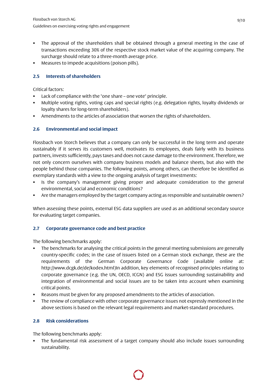- The approval of the shareholders shall be obtained through a general meeting in the case of transactions exceeding 30% of the respective stock market value of the acquiring company. The surcharge should relate to a three-month average price.
- Measures to impede acquisitions (poison pills).

## **2.5 Interests of shareholders**

Critical factors:

- Lack of compliance with the "one share one vote" principle.
- Multiple voting rights, voting caps and special rights (e.g. delegation rights, loyalty dividends or loyalty shares for long-term shareholders).
- Amendments to the articles of association that worsen the rights of shareholders.

## **2.6 Environmental and social impact**

Flossbach von Storch believes that a company can only be successful in the long term and operate sustainably if it serves its customers well, motivates its employees, deals fairly with its business partners, invests sufficiently, pays taxes and does not cause damage to the environment. Therefore, we not only concern ourselves with company business models and balance sheets, but also with the people behind those companies. The following points, among others, can therefore be identified as exemplary standards with a view to the ongoing analysis of target investments:

- Is the company's management giving proper and adequate consideration to the general environmental, social and economic conditions?
- Are the managers employed by the target company acting as responsible and sustainable owners?

When assessing these points, external ESG data suppliers are used as an additional secondary source for evaluating target companies.

#### **2.7 Corporate governance code and best practice**

The following benchmarks apply:

- The benchmarks for analysing the critical points in the general meeting submissions are generally country-specific codes; in the case of issuers listed on a German stock exchange, these are the requirements of the German Corporate Governance Code (available online at: http://www.dcgk.de/de/kodex.html)In addition, key elements of recognised principles relating to corporate governance (e.g. the UN, OECD, ICGN) and ESG issues surrounding sustainability and integration of environmental and social issues are to be taken into account when examining critical points.
- Reasons must be given for any proposed amendments to the articles of association.
- The review of compliance with other corporate governance issues not expressly mentioned in the above sections is based on the relevant legal requirements and market-standard procedures.

#### **2.8 Risk considerations**

The following benchmarks apply:

 The fundamental risk assessment of a target company should also include issues surrounding sustainability.